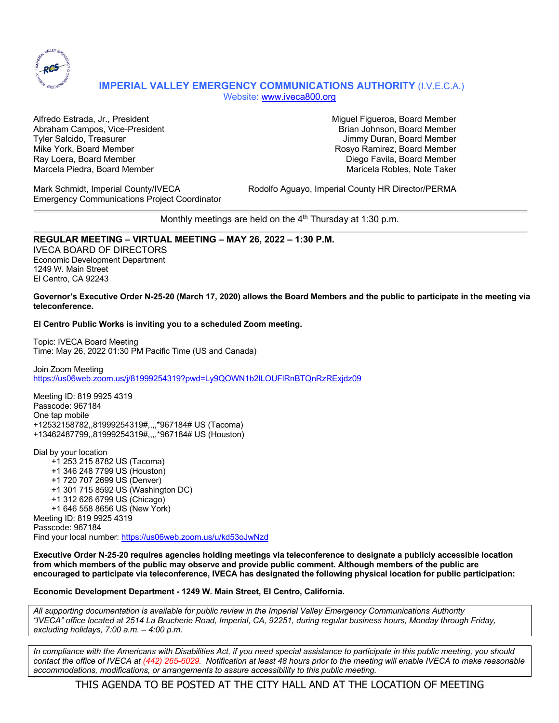

# **IMPERIAL VALLEY EMERGENCY COMMUNICATIONS AUTHORITY** (I.V.E.C.A.) Website: www.iveca800.org

Alfredo Estrada, Jr., President Miguel Figueroa, Board Member Abraham Campos, Vice-President Brian Johnson, Board Member Brian Johnson, Board Member Tyler Salcido, Treasurer Jimmy Duran, Board Member Mike York, Board Member Rosyo Ramirez, Board Member Ray Loera, Board Member Diego Favila, Board Member Marcela Piedra, Board Member Maricela Robles, Note Taker

Emergency Communications Project Coordinator

Mark Schmidt, Imperial County/IVECA Rodolfo Aguayo, Imperial County HR Director/PERMA

Monthly meetings are held on the  $4<sup>th</sup>$  Thursday at 1:30 p.m.

## **REGULAR MEETING – VIRTUAL MEETING – MAY 26, 2022 – 1:30 P.M.**

IVECA BOARD OF DIRECTORS Economic Development Department 1249 W. Main Street El Centro, CA 92243

### **Governor's Executive Order N-25-20 (March 17, 2020) allows the Board Members and the public to participate in the meeting via teleconference.**

### **El Centro Public Works is inviting you to a scheduled Zoom meeting.**

Topic: IVECA Board Meeting Time: May 26, 2022 01:30 PM Pacific Time (US and Canada)

Join Zoom Meeting https://us06web.zoom.us/j/81999254319?pwd=Ly9QOWN1b2lLOUFlRnBTQnRzRExjdz09

Meeting ID: 819 9925 4319 Passcode: 967184 One tap mobile +12532158782,,81999254319#,,,,\*967184# US (Tacoma) +13462487799,,81999254319#,,,,\*967184# US (Houston)

Dial by your location +1 253 215 8782 US (Tacoma) +1 346 248 7799 US (Houston) +1 720 707 2699 US (Denver) +1 301 715 8592 US (Washington DC) +1 312 626 6799 US (Chicago) +1 646 558 8656 US (New York) Meeting ID: 819 9925 4319 Passcode: 967184 Find your local number: https://us06web.zoom.us/u/kd53oJwNzd

**Executive Order N-25-20 requires agencies holding meetings via teleconference to designate a publicly accessible location from which members of the public may observe and provide public comment. Although members of the public are encouraged to participate via teleconference, IVECA has designated the following physical location for public participation:**

### **Economic Development Department - 1249 W. Main Street, El Centro, California.**

*All supporting documentation is available for public review in the Imperial Valley Emergency Communications Authority "IVECA" office located at 2514 La Brucherie Road, Imperial, CA, 92251, during regular business hours, Monday through Friday, excluding holidays, 7:00 a.m. – 4:00 p.m.*

*In compliance with the Americans with Disabilities Act, if you need special assistance to participate in this public meeting, you should contact the office of IVECA at (442) 265-6029. Notification at least 48 hours prior to the meeting will enable IVECA to make reasonable accommodations, modifications, or arrangements to assure accessibility to this public meeting.*

THIS AGENDA TO BE POSTED AT THE CITY HALL AND AT THE LOCATION OF MEETING